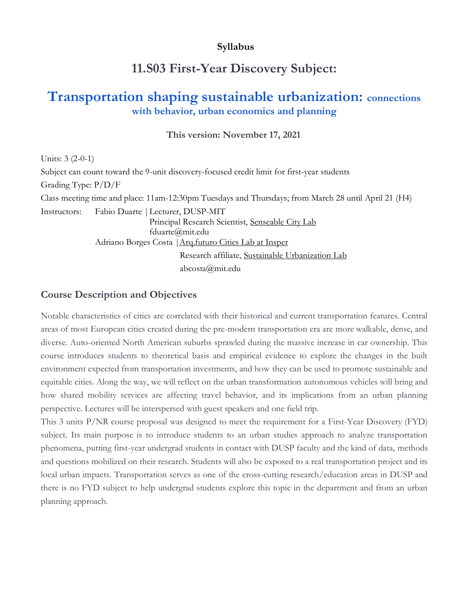### **Syllabus**

# **11.S03 First-Year Discovery Subject:**

# **Transportation shaping sustainable urbanization: connections with behavior, urban economics and planning**

**This version: November 17, 2021**

Units: 3 (2-0-1) Subject can count toward the 9-unit discovery-focused credit limit for first-year students Grading Type: P/D/F Class meeting time and place: 11am-12:30pm Tuesdays and Thursdays; from March 28 until April 21 (H4) Instructors: Fabio Duarte |Lecturer, DUSP-MIT Principal Research Scientist, [Senseable City Lab](http://senseable.mit.edu/) fduarte@mit.edu Adriano Borges Costa | Arq.futuro Cities Lab at Insper Research affiliate, [Sustainable Urbanization Lab](https://www.sul.mit.edu/) abcosta@mit.edu

#### **Course Description and Objectives**

Notable characteristics of cities are correlated with their historical and current transportation features. Central areas of most European cities created during the pre-modern transportation era are more walkable, dense, and diverse. Auto-oriented North American suburbs sprawled during the massive increase in car ownership. This course introduces students to theoretical basis and empirical evidence to explore the changes in the built environment expected from transportation investments, and how they can be used to promote sustainable and equitable cities. Along the way, we will reflect on the urban transformation autonomous vehicles will bring and how shared mobility services are affecting travel behavior, and its implications from an urban planning perspective. Lectures will be interspersed with guest speakers and one field trip.

This 3 units P/NR course proposal was designed to meet the requirement for a First-Year Discovery (FYD) subject. Its main purpose is to introduce students to an urban studies approach to analyze transportation phenomena, putting first-year undergrad students in contact with DUSP faculty and the kind of data, methods and questions mobilized on their research. Students will also be exposed to a real transportation project and its local urban impacts. Transportation serves as one of the cross-cutting research/education areas in DUSP and there is no FYD subject to help undergrad students explore this topic in the department and from an urban planning approach.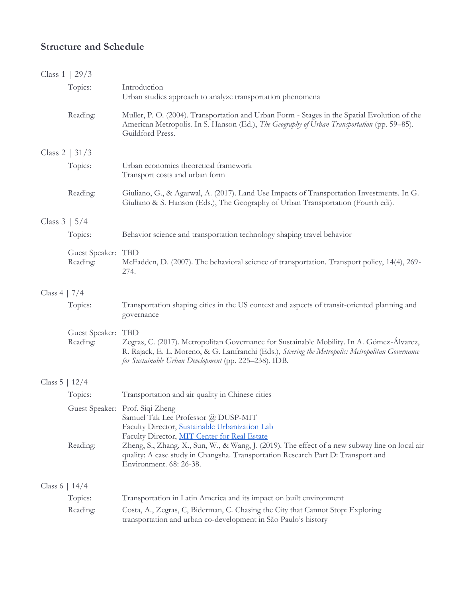### **Structure and Schedule**

|                     | Class $1 \mid 29/3$            |                                                                                                                                                                                                                                                                                                                                                                                           |  |
|---------------------|--------------------------------|-------------------------------------------------------------------------------------------------------------------------------------------------------------------------------------------------------------------------------------------------------------------------------------------------------------------------------------------------------------------------------------------|--|
|                     | Topics:                        | Introduction<br>Urban studies approach to analyze transportation phenomena                                                                                                                                                                                                                                                                                                                |  |
|                     | Reading:                       | Muller, P. O. (2004). Transportation and Urban Form - Stages in the Spatial Evolution of the<br>American Metropolis. In S. Hanson (Ed.), The Geography of Urban Transportation (pp. 59–85).<br>Guildford Press.                                                                                                                                                                           |  |
|                     | Class 2   $31/3$               |                                                                                                                                                                                                                                                                                                                                                                                           |  |
|                     | Topics:                        | Urban economics theoretical framework<br>Transport costs and urban form                                                                                                                                                                                                                                                                                                                   |  |
|                     | Reading:                       | Giuliano, G., & Agarwal, A. (2017). Land Use Impacts of Transportation Investments. In G.<br>Giuliano & S. Hanson (Eds.), The Geography of Urban Transportation (Fourth edi).                                                                                                                                                                                                             |  |
| Class $3 \mid 5/4$  |                                |                                                                                                                                                                                                                                                                                                                                                                                           |  |
|                     | Topics:                        | Behavior science and transportation technology shaping travel behavior                                                                                                                                                                                                                                                                                                                    |  |
|                     | Guest Speaker: TBD<br>Reading: | McFadden, D. (2007). The behavioral science of transportation. Transport policy, 14(4), 269-<br>274.                                                                                                                                                                                                                                                                                      |  |
| Class $4 \mid 7/4$  |                                |                                                                                                                                                                                                                                                                                                                                                                                           |  |
|                     | Topics:                        | Transportation shaping cities in the US context and aspects of transit-oriented planning and<br>governance                                                                                                                                                                                                                                                                                |  |
|                     | Guest Speaker: TBD<br>Reading: | Zegras, C. (2017). Metropolitan Governance for Sustainable Mobility. In A. Gómez-Álvarez,<br>R. Rajack, E. L. Moreno, & G. Lanfranchi (Eds.), Steering the Metropolis: Metropolitan Governance<br>for Sustainable Urban Development (pp. 225-238). IDB.                                                                                                                                   |  |
| Class $5 \mid 12/4$ |                                |                                                                                                                                                                                                                                                                                                                                                                                           |  |
|                     | Topics:                        | Transportation and air quality in Chinese cities                                                                                                                                                                                                                                                                                                                                          |  |
|                     | Reading:                       | Guest Speaker: Prof. Siqi Zheng<br>Samuel Tak Lee Professor @ DUSP-MIT<br>Faculty Director, Sustainable Urbanization Lab<br>Faculty Director, MIT Center for Real Estate<br>Zheng, S., Zhang, X., Sun, W., & Wang, J. (2019). The effect of a new subway line on local air<br>quality: A case study in Changsha. Transportation Research Part D: Transport and<br>Environment. 68: 26-38. |  |
|                     |                                |                                                                                                                                                                                                                                                                                                                                                                                           |  |
| Class 6   $14/4$    |                                |                                                                                                                                                                                                                                                                                                                                                                                           |  |
|                     | Topics:                        | Transportation in Latin America and its impact on built environment                                                                                                                                                                                                                                                                                                                       |  |
|                     | Reading:                       | Costa, A., Zegras, C, Biderman, C. Chasing the City that Cannot Stop: Exploring<br>transportation and urban co-development in São Paulo's history                                                                                                                                                                                                                                         |  |